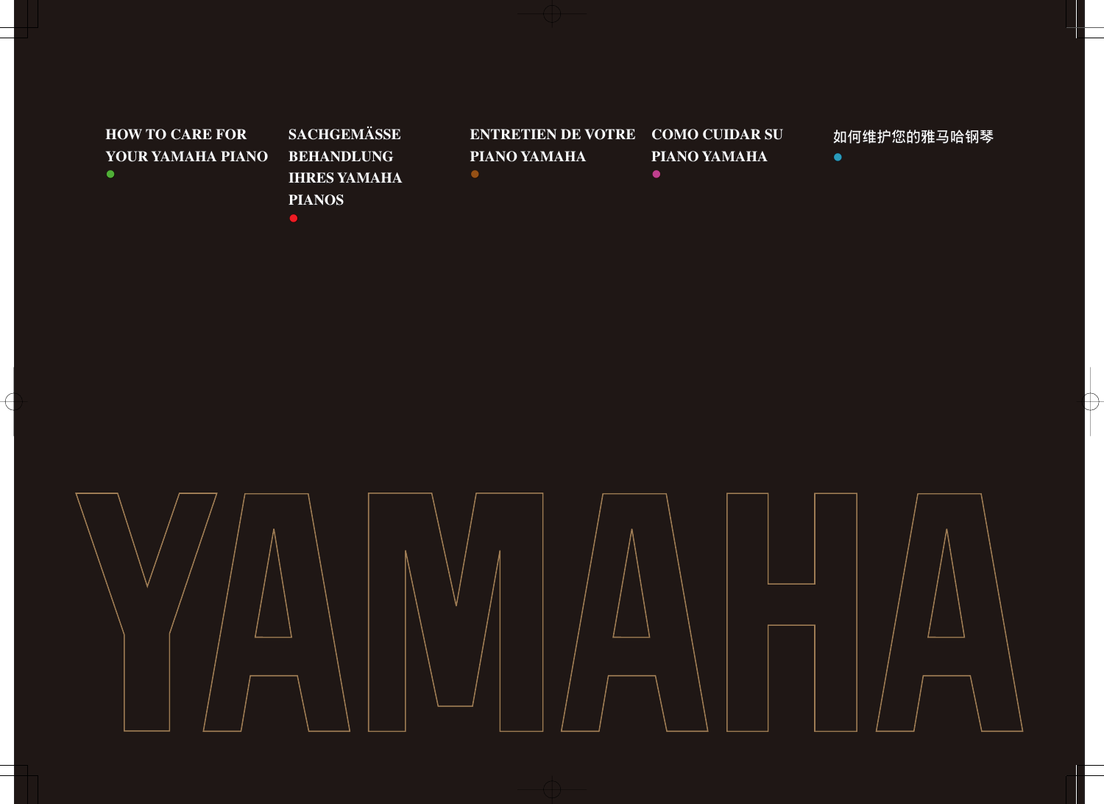**SACHGEMÄSSE BEHANDLUNG IHRES YAMAHA PIANOS HOW TO CARE FOR YOUR YAMAHA PIANO**  $\bullet$ 

 $\bullet$ 

**ENTRETIEN DE VOTRE COMO CUIDAR SU PIANO YAMAHA**  $\bullet$ **PIANO YAMAHA**  $\bullet$ 

**如何维护您的雅马哈钢琴**

 $\bullet$ 

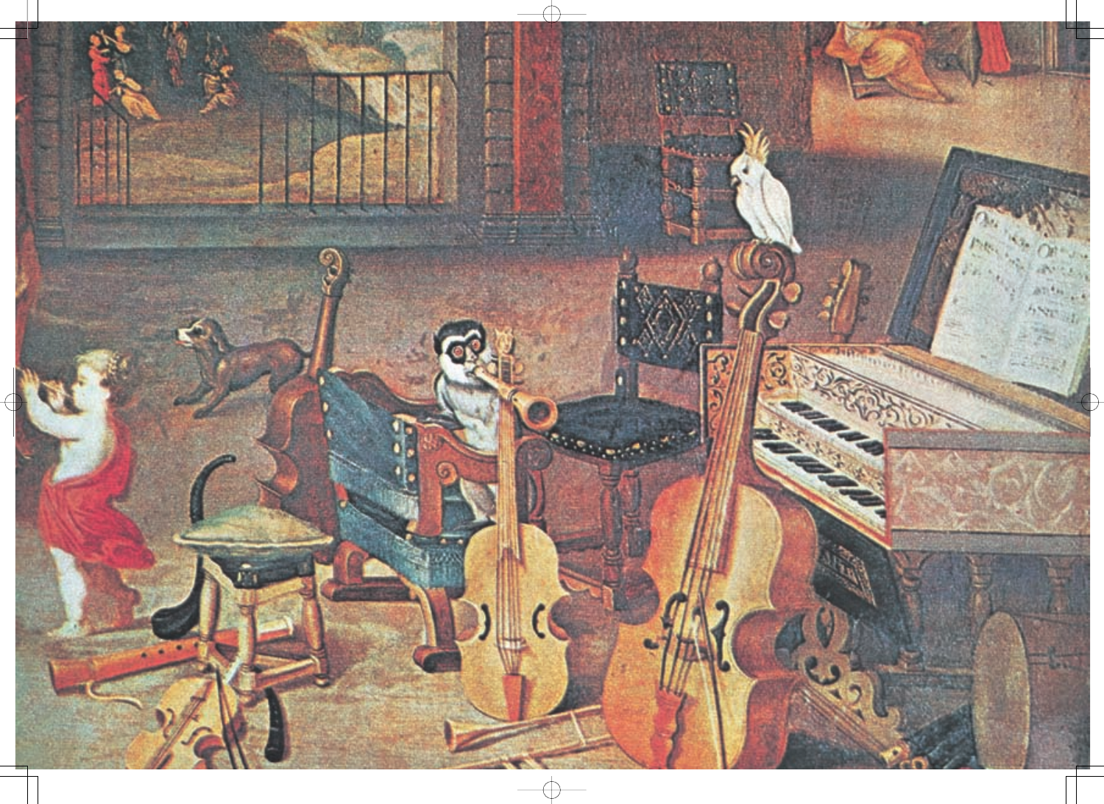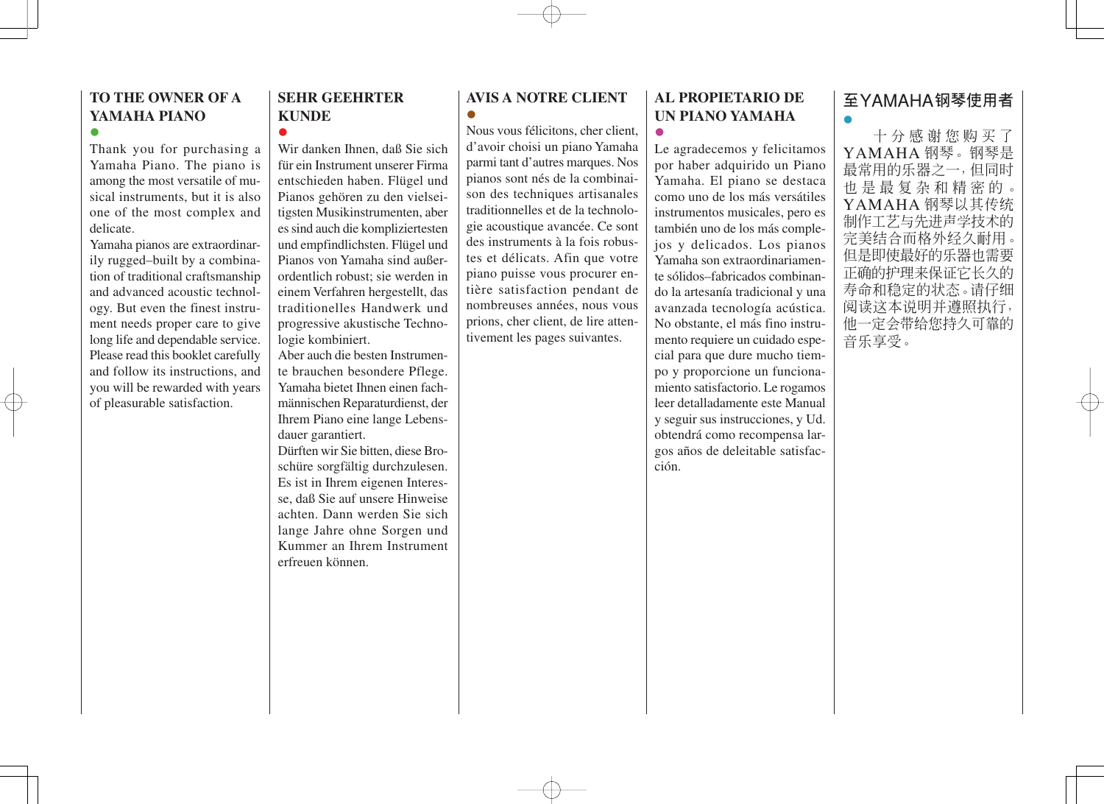#### **TO THE OWNER OF A YAMAHA PIANO**  $\bullet$

Thank you for purchasing a Yamaha Piano. The piano is among the most versatile of musical instruments, but it is also one of the most complex and delicate.

Yamaha pianos are extraordinarily rugged–built by a combination of traditional craftsmanship and advanced acoustic technology. But even the finest instrument needs proper care to give long life and dependable service. Please read this booklet carefully and follow its instructions, and you will be rewarded with years of pleasurable satisfaction.

# **SEHR GEEHRTER KUNDE**

0

Wir danken Ihnen, daß Sie sich für ein Instrument unserer Firma entschieden haben. Flügel und Pianos gehören zu den vielseitigsten Musikinstrumenten, aber es sind auch die kompliziertesten und empfindlichsten. Flügel und Pianos von Yamaha sind außerordentlich robust; sie werden in einem Verfahren hergestellt, das traditionelles Handwerk und progressive akustische Technologie kombiniert.

Aber auch die besten Instrumente brauchen besondere Pflege. Yamaha bietet Ihnen einen fachmännischen Reparaturdienst, der Ihrem Piano eine lange Lebensdauer garantiert.

Dürften wir Sie bitten, diese Broschüre sorgfältig durchzulesen. Es ist in Ihrem eigenen Interesse, daß Sie auf unsere Hinweise achten. Dann werden Sie sich lange Jahre ohne Sorgen und Kummer an Ihrem Instrument erfreuen können.

#### **AVIS A NOTRE CLIENT**  $\bullet$

Nous vous félicitons, cher client, d'avoir choisi un piano Yamaha parmi tant d'autres marques. Nos pianos sont nés de la combinaison des techniques artisanales traditionnelles et de la technologie acoustique avancée. Ce sont des instruments à la fois robustes et délicats. Afin que votre piano puisse vous procurer entière satisfaction pendant de nombreuses années, nous vous prions, cher client, de lire attentivement les pages suivantes.

#### **AL PROPIETARIO DE UN PIANO YAMAHA**  $\bullet$

Le agradecemos y felicitamos por haber adquirido un Piano Yamaha. El piano se destaca como uno de los más versátiles instrumentos musicales, pero es también uno de los más complejos y delicados. Los pianos Yamaha son extraordinariamente sólidos–fabricados combinando la artesanía tradicional y una avanzada tecnología acústica. No obstante, el más fino instrumento requiere un cuidado especial para que dure mucho tiempo y proporcione un funcionamiento satisfactorio. Le rogamos leer detalladamente este Manual y seguir sus instrucciones, y Ud. obtendrá como recompensa largos años de deleitable satisfacción.

# **至**YAMAHA**钢琴使用者**

 $\bullet$ 

十分感谢您购买了 YAMAHA 钢琴。钢琴是 最常用的乐器之一,但同时 也是最复杂和精密的。 YAMAHA 钢琴以其传统 制作工艺与先进声学技术的 完美结合而格外经久耐用。 但是即使最好的乐器也需要 正确的护理来保证它长久的 寿命和稳定的状态。请仔细 阅读这本说明并遵照执行, 他一定会带给您持久可靠的 音乐享受。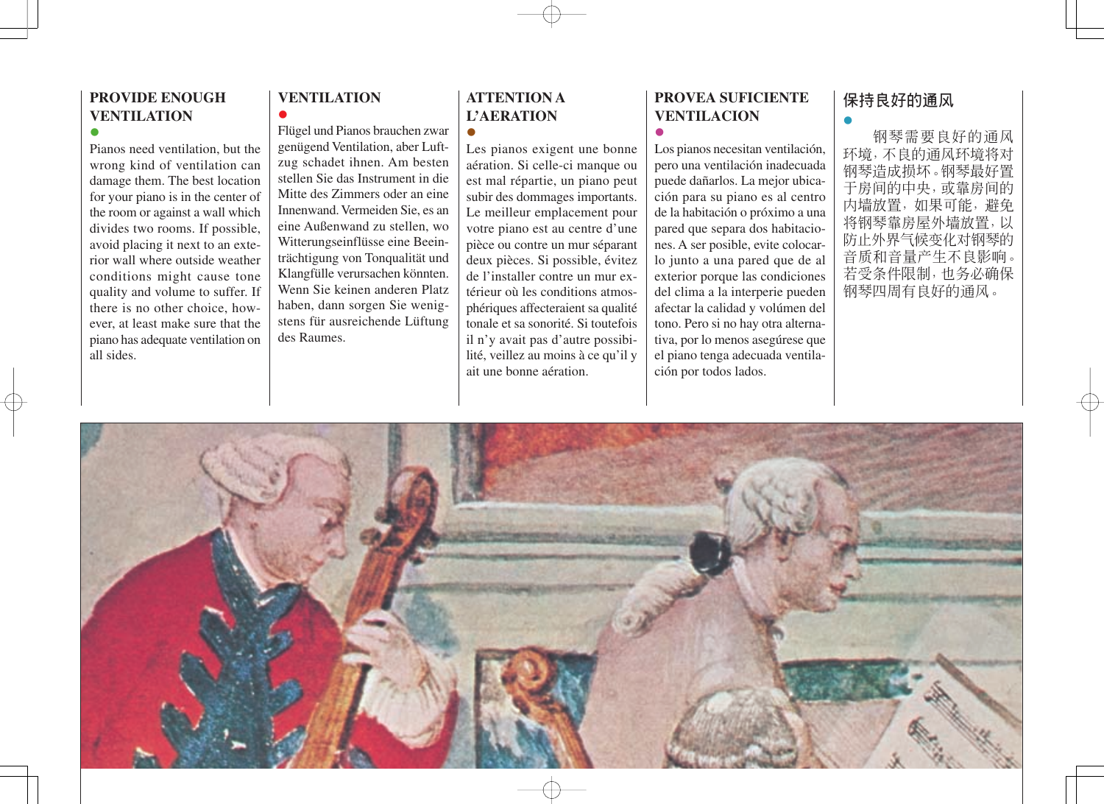#### **PROVIDE ENOUGH VENTILATION**  $\bullet$

Pianos need ventilation, but the wrong kind of ventilation can damage them. The best location for your piano is in the center of the room or against a wall which divides two rooms. If possible, avoid placing it next to an exterior wall where outside weather conditions might cause tone quality and volume to suffer. If there is no other choice, however, at least make sure that the piano has adequate ventilation on all sides.

# **VENTILATION**

0

Fl ügel und Pianos brauchen zwar gen ügend Ventilation, aber Luftzug schadet ihnen. Am besten stellen Sie das Instrument in die Mitte des Zimmers oder an eine Innenwand. Vermeiden Sie, es an eine Au ßenwand zu stellen, wo Witterungseinfl üsse eine Beeinträchtigung von Tonqualität und Klangfülle verursachen k önnten. Wenn Sie keinen anderen Platz haben, dann sorgen Sie wenigstens für ausreichende L üftung des Raumes.

# **ATTENTION A L'AERATION**

0

Les pianos exigent une bonne aération. Si celle-ci manque ou est mal répartie, un piano peut subir des dommages importants. Le meilleur emplacement pour votre piano est au centre d'une pièce ou contre un mur séparant deux pièces. Si possible, évitez de l'installer contre un mur extérieur o ù les conditions atmosphériques affecteraient sa qualité tonale et sa sonorité. Si toutefois il n'y avait pas d'autre possibilité, veillez au moins à ce qu'il y ait une bonne aération.

## **PROVEA SUFICIENTE VENTILACION**  $\bullet$

Los pianos necesitan ventilaci ón, pero una ventilaci ón inadecuada puede da ñarlos. La mejor ubicaci ón para su piano es al centro de la habitaci ón o pr óximo a una pared que separa dos habitaciones. A ser posible, evite colocarlo junto a una pared que de al exterior porque las condiciones del clima a la interperie pueden afectar la calidad y vol úmen del tono. Pero si no hay otra alternativa, por lo menos aseg úrese que el piano tenga adecuada ventilaci ón por todos lados.

# **保持良好的通风**

 $\bullet$ 钢琴需要良好的通风 环境,不良的通风环境将对 钢琴造成损坏。钢琴最好置 于房间的中央,或靠房间的 内墙放置,如果可能,避免 将钢琴靠房屋外墙放置,以 防止外界气候变化对钢琴的 音质和音量产生不良影响。 若受条件限制,也务必确保 钢琴四周有良好的通风。

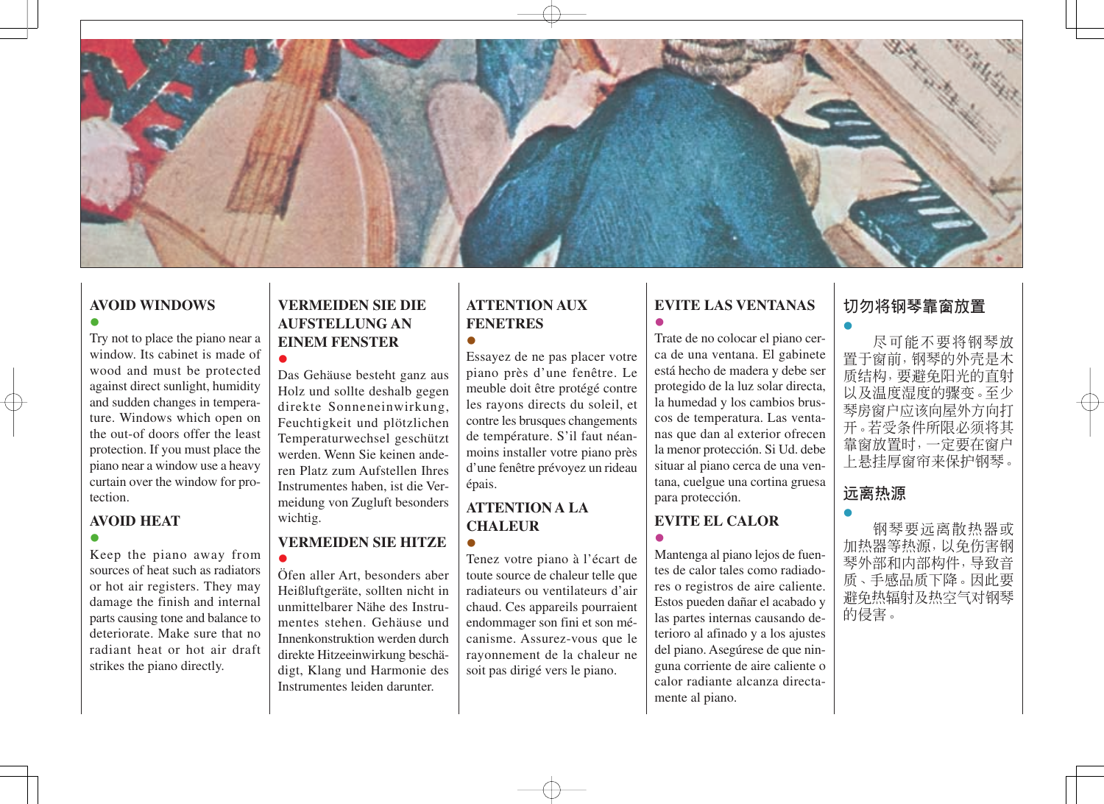

#### **AVOID WINDOWS** 0

Try not to place the piano near a window. Its cabinet is made of wood and must be protected against direct sunlight, humidity and sudden changes in temperature. Windows which open on the out-of doors offer the least protection. If you must place the piano near a window use a heavy curtain over the window for protection.

#### **AVOID HEAT**  $\bullet$

Keep the piano away from sources of heat such as radiators or hot air registers. They may damage the finish and internal parts causing tone and balance to deteriorate. Make sure that no radiant heat or hot air draft strikes the piano directly.

## **VERMEIDEN SIE DIE AUFSTELLUNG AN EINEM FENSTER**

0 Das Gehäuse besteht ganz aus Holz und sollte deshalb gegen direkte Sonneneinwirkung, Feuchtigkeit und pl ötzlichen Temperaturwechsel gesch ützt werden. Wenn Sie keinen anderen Platz zum Aufstellen Ihres Instrumentes haben, ist die Vermeidung von Zugluft besonders wichtig.

# **VERMEIDEN SIE HITZE**

0

Öfen aller Art, besonders aber Hei ßluftgeräte, sollten nicht in unmittelbarer Nähe des Instrumentes stehen. Gehäuse und Innenkonstruktion werden durch direkte Hitzeeinwirkung beschädigt, Klang und Harmonie des Instrumentes leiden darunter.

#### **ATTENTION AUX FENETRES**  $\bullet$

Essayez de ne pas placer votre piano près d'une fenêtre. Le meuble doit être protégé contre les rayons directs du soleil, et contre les brusques changements de température. S'il faut néanmoins installer votre piano près d'une fenêtre prévoyez un rideau épais.

## **ATTENTION A LA CHALEUR** 0

Tenez votre piano à l'écart de toute source de chaleur telle que radiateurs ou ventilateurs d'air chaud. Ces appareils pourraient endommager son fini et son mécanisme. Assurez-vous que le rayonnement de la chaleur ne soit pas dirigé vers le piano.

#### **EVITE LAS VENTANAS**  $\bullet$

Trate de no colocar el piano cerca de una ventana. El gabinete está hecho de madera y debe ser protegido de la luz solar directa, la humedad y los cambios bruscos de temperatura. Las ventanas que dan al exterior ofrecen la menor protecci ón. Si Ud. debe situar al piano cerca de una ventana, cuelgue una cortina gruesa para protecci ón.

#### **EVITE EL CALOR**  $\bullet$

Mantenga al piano lejos de fuentes de calor tales como radiadores o registros de aire caliente. Estos pueden da ñar el acabado y las partes internas causando deterioro al afinado y a los ajustes del piano. Aseg úrese de que ninguna corriente de aire caliente o calor radiante alcanza directamente al piano.

# **切勿将钢琴靠窗放置**

尽可能不要将钢琴放 置于窗前,钢琴的外壳是木 质结构,要避免阳光的直射 以及温度湿度的骤变。至少 琴房窗户应该向屋外方向打 开。若受条件所限必须将其 靠窗放置时,一定要在窗户 上悬挂厚窗帘来保护钢琴。

# **远离热源**

 $\bullet$ 

 $\bullet$ 

钢琴要远离散热器或 加热器等热源,以免伤害钢 琴外部和内部构件,导致音 质、手感品质下降。因此要 避免热辐射及热空气对钢琴 的侵害。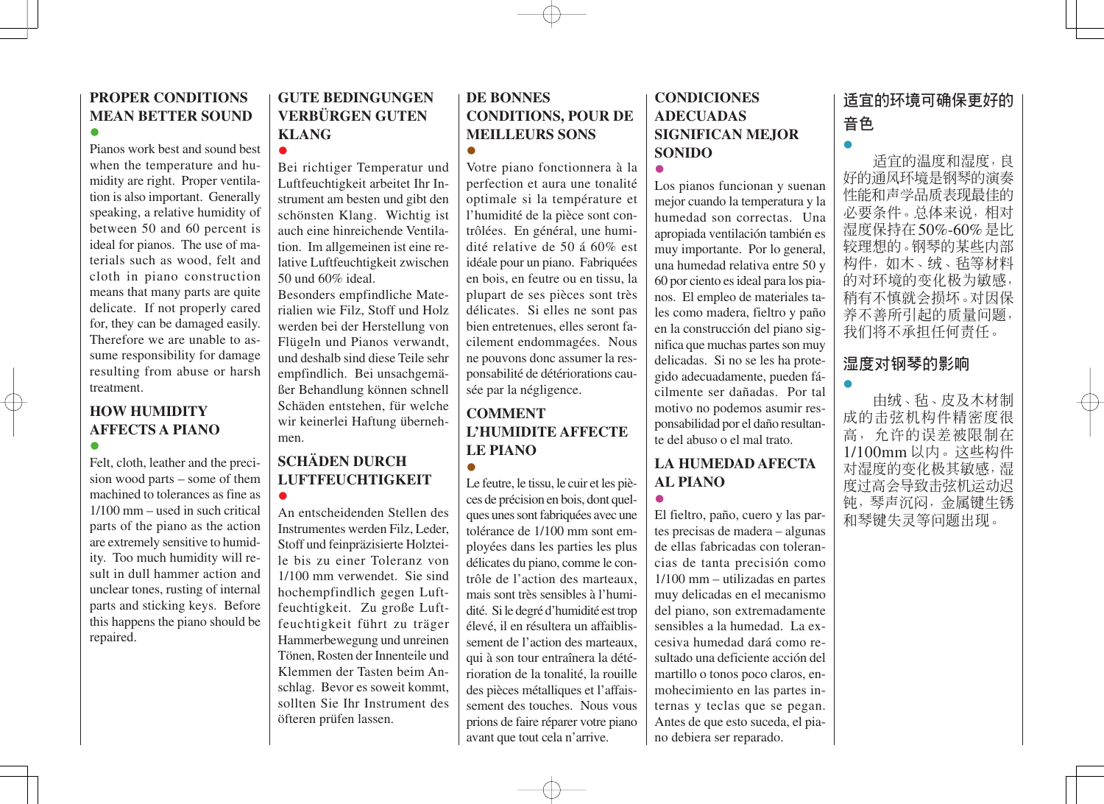#### **PROPER CONDITIONS MEAN BETTER SOUND**  $\bullet$

Pianos work best and sound best when the temperature and humidity are right. Proper ventilation is also important. Generally speaking, a relative humidity of between 50 and 60 percent is ideal for pianos. The use of materials such as wood, felt and cloth in piano construction means that many parts are quite delicate. If not properly cared for, they can be damaged easily. Therefore we are unable to assume responsibility for damage resulting from abuse or harsh treatment.

#### **HOW HUMIDITY AFFECTS A PIANO**  $\bullet$

Felt, cloth, leather and the precision wood parts – some of them machined to tolerances as fine as 1/100 mm – used in such critical parts of the piano as the action are extremely sensitive to humidity. Too much humidity will result in dull hammer action and unclear tones, rusting of internal parts and sticking keys. Before this happens the piano should be repaired.

## **GUTE BEDINGUNGEN VERB ÜRGEN GUTEN KLANG**

0

Bei richtiger Temperatur und Luftfeuchtigkeit arbeitet Ihr Instrument am besten und gibt den sch önsten Klang. Wichtig ist auch eine hinreichende Ventilation. Im allgemeinen ist eine relative Luftfeuchtigkeit zwischen 50 und 60% ideal.

Besonders empfindliche Materialien wie Filz, Stoff und Holz werden bei der Herstellung von Fl ügeln und Pianos verwandt, und deshalb sind diese Teile sehr empfindlich. Bei unsachgemäßer Behandlung k önnen schnell Schäden entstehen, für welche wir keinerlei Haftung übernehmen.

## **SCH ÄDEN DURCH LUFTFEUCHTIGKEIT**  $\bullet$

An entscheidenden Stellen des Instrumentes werden Filz, Leder, Stoff und feinpräzisierte Holzteile bis zu einer Toleranz von 1/100 mm verwendet. Sie sind hochempfindlich gegen Luftfeuchtigkeit. Zu gro ße Luftfeuchtigkeit f ührt zu träger Hammerbewegung und unreinen T önen, Rosten der Innenteile und Klemmen der Tasten beim Anschlag. Bevor es soweit kommt, sollten Sie Ihr Instrument des öfteren pr üfen lassen.

## **DE BONNES CONDITIONS, POUR DE MEILLEURS SONS**  $\bullet$

Votre piano fonctionnera à la perfection et aura une tonalité optimale si la température et l'humidité de la pièce sont contr ôlées. En général, une humidité relative de 50 á 60% est idéale pour un piano. Fabriquées en bois, en feutre ou en tissu, la plupart de ses pièces sont très délicates. Si elles ne sont pas bien entretenues, elles seront facilement endommagées. Nous ne pouvons donc assumer la responsabilité de détériorations causée par la négligence.

# **COMMENT L'HUMIDITE AFFECTE LE PIANO**

 $\bullet$ 

Le feutre, le tissu, le cuir et les pièces de précision en bois, dont quelques unes sont fabriquées avec une tolérance de 1/100 mm sont employées dans les parties les plus délicates du piano, comme le contr ôle de l'action des marteaux, mais sont très sensibles à l'humidité. Si le degré d'humidité est trop élevé, il en résultera un affaiblissement de l'action des marteaux, qui à son tour entraînera la détérioration de la tonalité, la rouille des pièces métalliques et l'affaissement des touches. Nous vous prions de faire réparer votre piano avant que tout cela n'arrive.

# **CONDICIONES ADECUADAS SIGNIFICAN MEJOR SONIDO**

 $\bullet$ 

 $\bullet$ 

Los pianos funcionan y suenan mejor cuando la temperatura y la humedad son correctas. Una apropiada ventilaci ón también es muy importante. Por lo general, una humedad relativa entre 50 y 60 por ciento es ideal para los pianos. El empleo de materiales tales como madera, fieltro y pa ñ o en la construcci ón del piano significa que muchas partes son muy delicadas. Si no se les ha protegido adecuadamente, pueden fácilmente ser da ñadas. Por tal motivo no podemos asumir responsabilidad por el daño resultante del abuso o el mal trato.

# **LA HUMEDAD AFECTA AL PIANO**

El fieltro, pa ño, cuero y las partes precisas de madera – algunas de ellas fabricadas con tolerancias de tanta precisi ón como 1/100 mm – utilizadas en partes muy delicadas en el mecanismo del piano, son extremadamente sensibles a la humedad. La excesiva humedad dará como resultado una deficiente acci ón del martillo o tonos poco claros, enmohecimiento en las partes internas y teclas que se pegan. Antes de que esto suceda, el piano debiera ser reparado.

# **适宜的环境可确保更好的 音色**  $\bullet$

适宜的温度和湿度,良 好的通风环境是钢琴的演奏 性能和声学品质表现最佳的 必要条件。总体来说,相对 湿度保持在50%-60%是比 较理想的。钢琴的某些内部 构件,如木、绒、毡等材料 的对环境的变化极为敏感, 稍有不慎就会损坏。对因保 养不善所引起的质量问题, 我们将不承担任何责任。

# **湿度对钢琴的影响**

 $\bullet$ 由绒、毡、皮及木材制 成的击弦机构件精密度很 高,允许的误差被限制在 1/100mm 以内。这些构件 对湿度的变化极其敏感,湿 度过高会导致击弦机运动迟 钝,琴声沉闷,金属键生锈 和琴键失灵等问题出现。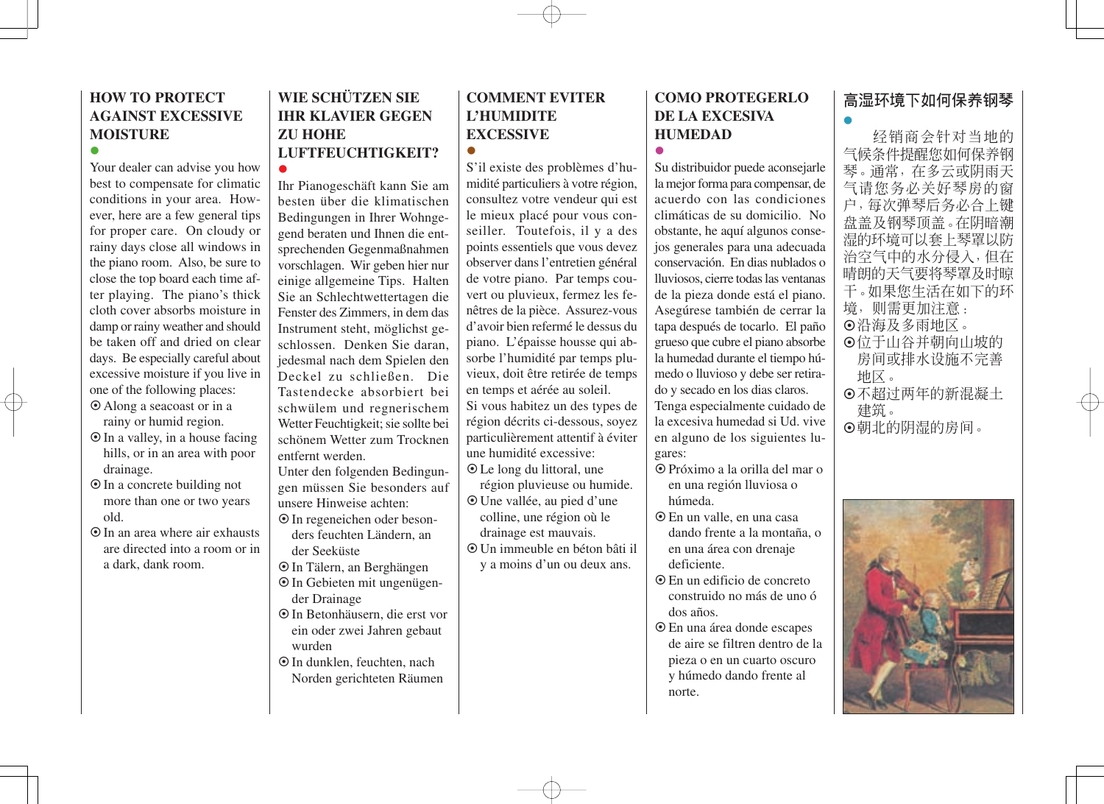# **HOW TO PROTECT AGAINST EXCESSIVE MOISTURE**

 $\bullet$ 

Your dealer can advise you how best to compensate for climatic conditions in your area. However, here are a few general tips for proper care. On cloudy or rainy days close all windows in the piano room. Also, be sure to close the top board each time after playing. The piano's thick cloth cover absorbs moisture in damp or rainy weather and should be taken off and dried on clear days. Be especially careful about excessive moisture if you live in one of the following places:

- -Along a seacoast or in a rainy or humid region.
- -In a valley, in a house facing hills, or in an area with poor drainage.
- -In a concrete building not more than one or two years old.
- -In an area where air exhausts are directed into a room or in a dark, dank room.

# **WIE SCH ÜTZEN SIE IHR KLAVIER GEGEN ZU HOHE LUFTFEUCHTIGKEIT?**

0

Ihr Pianogeschäft kann Sie am besten über die klimatischen Bedingungen in Ihrer Wohngegend beraten und Ihnen die entsprechenden Gegenma ßnahmen vorschlagen. Wir geben hier nur einige allgemeine Tips. Halten Sie an Schlechtwettertagen die Fenster des Zimmers, in dem das Instrument steht, m öglichst geschlossen. Denken Sie daran, jedesmal nach dem Spielen den Deckel zu schlie ßen. Die Tastendecke absorbiert bei schw ülem und regnerischem Wetter Feuchtigkeit; sie sollte bei sch önem Wetter zum Trocknen entfernt werden.

Unter den folgenden Bedingungen m üssen Sie besonders auf unsere Hinweise achten:

- -In regeneichen oder besonders feuchten Ländern, an
- der Seek üste
- -In Tälern, an Berghängen
- -In Gebieten mit ungen ügender Drainage
- -In Betonhäusern, die erst vor ein oder zwei Jahren gebaut wurden
- -In dunklen, feuchten, nach Norden gerichteten Räumen

## **COMMENT EVITER L'HUMIDITE EXCESSIVE**  $\bullet$

S'il existe des problèmes d'humidité particuliers à votre région, consultez votre vendeur qui est le mieux placé pour vous conseiller. Toutefois, il y a des points essentiels que vous devez observer dans l'entretien général de votre piano. Par temps couvert ou pluvieux, fermez les fenêtres de la pièce. Assurez-vous d'avoir bien refermé le dessus du piano. L'épaisse housse qui absorbe l'humidité par temps pluvieux, doit être retirée de temps en temps et aérée au soleil. Si vous habitez un des types de région décrits ci-dessous, soyez particulièrement attentif à éviter une humidité excessive: -Le long du littoral, une région pluvieuse ou humide. -Une vallée, au pied d'une

colline, une région o ù le drainage est mauvais.

-Un immeuble en béton bâti il y a moins d'un ou deux ans.

## **COMO PROTEGERLO DE LA EXCESIVA HUMEDAD**  $\bullet$

Su distribuidor puede aconsejarle la mejor forma para compensar, de acuerdo con las condiciones climáticas de su domicilio. No obstante, he aquí algunos consejos generales para una adecuada conservaci ón. En dias nublados o lluviosos, cierre todas las ventanas de la pieza donde está el piano. Aseg úrese también de cerrar la tapa después de tocarlo. El pa ñ o grueso que cubre el piano absorbe la humedad durante el tiempo húmedo o lluvioso y debe ser retirado y secado en los dias claros. Tenga especialmente cuidado de la excesiva humedad si Ud. vive en alguno de los siguientes lugares:

- -Pr óximo a la orilla del mar o en una regi ón lluviosa o h úmeda.
- -En un valle, en una casa dando frente a la monta ña, o en una área con drenaje deficiente.
- **⊙** En un edificio de concreto construido no más de uno ó dos a ños.
- -En una área donde escapes de aire se filtren dentro de la pieza o en un cuarto oscuro y h úmedo dando frente al norte.

# **高湿环境下如何保养钢琴**

 $\bullet$ 

经销商会针对当地的 气候条件提醒您如何保养钢 琴。通常,在多云或阴雨天 气请您务必关好琴房的窗 户,每次弹琴后务必合上键 盘盖及钢琴顶盖。在阴暗潮 湿的环境可以套上琴罩以防 治空气中的水分侵入,但在 晴朗的天气要将琴罩及时晾 干。如果您生活在如下的环 境,则需更加注意: ⊙沿海及多雨地区。 ⊙位于山谷并朝向山坡的 房间或排水设施不完善 地区。 ⊙不超过两年的新混凝土 建筑。



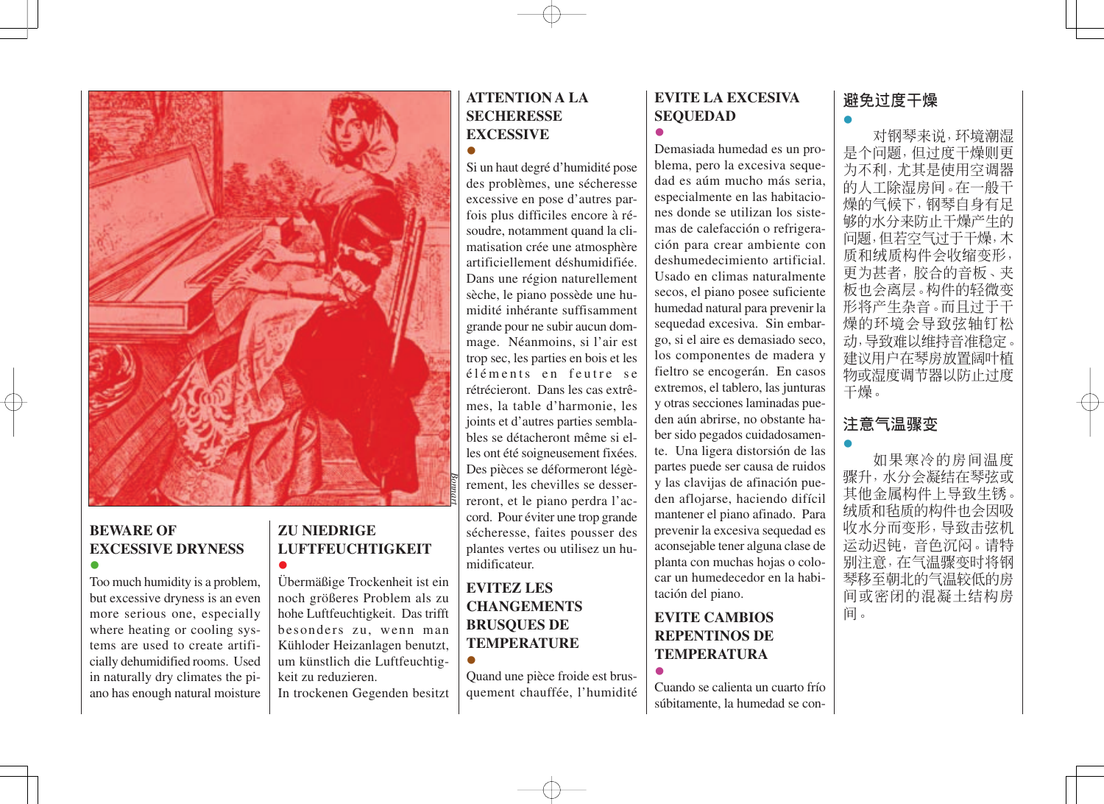

 $\bullet$ 

#### **BEWARE OF EXCESSIVE DRYNESS** 0

Too much humidity is a problem, but excessive dryness is an even more serious one, especially where heating or cooling systems are used to create artificially dehumidified rooms. Used in naturally dry climates the piano has enough natural moisture

# **ZU NIEDRIGE LUFTFEUCHTIGKEIT**

Übermäßige Trockenheit ist ein noch größeres Problem als zu hohe Luftfeuchtigkeit. Das trifft besonders zu, wenn man K ühloder Heizanlagen benutzt, um k ünstlich die Luftfeuchtigkeit zu reduzieren.

In trockenen Gegenden besitzt

## **ATTENTION A LA SECHERESSE EXCESSIVE** 0

Si un haut degré d'humidité pose des problèmes, une sécheresse excessive en pose d'autres parfois plus difficiles encore à résoudre, notamment quand la climatisation crée une atmosphère artificiellement déshumidifiée. Dans une région naturellement sèche, le piano possède une humidité inhérante suffisamment grande pour ne subir aucun dommage. Néanmoins, si l'air est trop sec, les parties en bois et les é l é ments en feutre se rétrécieront. Dans les cas extrêmes, la table d'harmonie, les joints et d'autres parties semblables se détacheront même si elles ont été soigneusement fixées. Des pièces se déformeront légèrement, les chevilles se desserreront, et le piano perdra l'accord. Pour éviter une trop grande sécheresse, faites pousser des plantes vertes ou utilisez un humidificateur.

## **EVITEZ LES CHANGEMENTS BRUSQUES DE TEMPERATURE** 0

Quand une pièce froide est brusquement chauffée, l'humidité

## **EVITE LA EXCESIVA SEQUEDAD**  $\bullet$

Demasiada humedad es un problema, pero la excesiva sequedad es a úm mucho más seria, especialmente en las habitaciones donde se utilizan los sistemas de calefacci ón o refrigeraci ón para crear ambiente con deshumedecimiento artificial. Usado en climas naturalmente secos, el piano posee suficiente humedad natural para prevenir la sequedad excesiva. Sin embargo, si el aire es demasiado seco, los componentes de madera y fieltro se encogerán. En casos extremos, el tablero, las junturas y otras secciones laminadas pueden a ún abrirse, no obstante haber sido pegados cuidadosamente. Una ligera distorsi ón de las partes puede ser causa de ruidos y las clavijas de afinaci ón pueden aflojarse, haciendo difícil mantener el piano afinado. Para prevenir la excesiva sequedad es aconsejable tener alguna clase de planta con muchas hojas o colocar un humedecedor en la habitaci ón del piano.

# **EVITE CAMBIOS REPENTINOS DE TEMPERATURA**

 $\bullet$ 

Cuando se calienta un cuarto frío súbitamente, la humedad se con-

# **避免过度干燥**

 $\bullet$ 

对钢琴来说,环境潮湿 是个问题,但过度干燥则更 为不利,尤其是使用空调器 的人工除湿房间。在一般干 燥的气候下,钢琴自身有足 够的水分来防止干燥产生的 问题,但若空气过于干燥, 木 质和绒质构件会收缩变形, 更为甚者,胶合的音板、夹 板也会离层。构件的轻微变 形将产生杂音。而且过于干 燥的环境会导致弦轴钉松 动,导致难以维持音准稳定。 建议用户在琴房放置阔叶植 物或湿度调节器以防止过度 干燥。

# **注意气温骤变**

 $\bullet$ 

如果寒冷的房间温度 骤升,水分会凝结在琴弦或 其他金属构件上导致生锈 绒质和毡质的构件也会因吸 收水分而变形,导致击弦机 运动迟钝,音色沉闷。请特 别注意,在气温骤变时将钢 琴移至朝北的气温较低的房 间或密闭的混凝土结构房 间。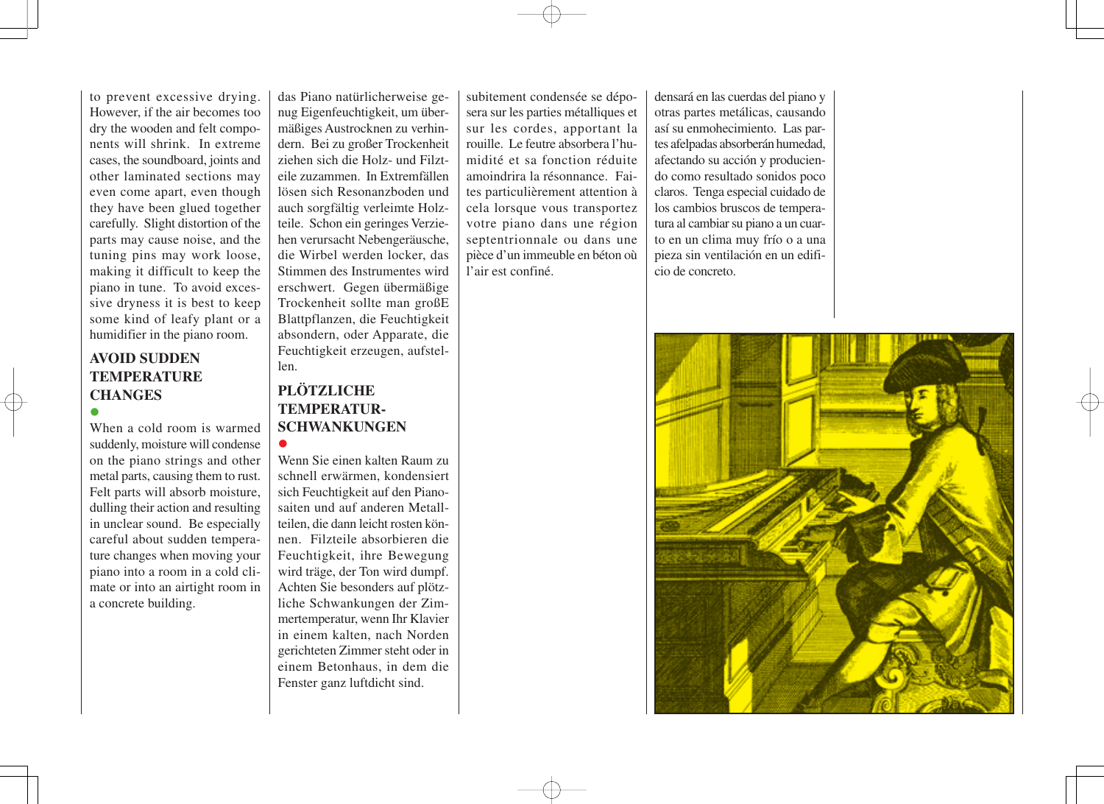to prevent excessive drying. However, if the air becomes too dry the wooden and felt components will shrink. In extreme cases, the soundboard, joints and other laminated sections may even come apart, even though they have been glued together carefully. Slight distortion of the parts may cause noise, and the tuning pins may work loose, making it difficult to keep the piano in tune. To avoid excessive dryness it is best to keep some kind of leafy plant or a humidifier in the piano room.

## **AVOID SUDDEN TEMPERATURE CHANGES**  $\bullet$

When a cold room is warmed suddenly, moisture will condense on the piano strings and other metal parts, causing them to rust. Felt parts will absorb moisture, dulling their action and resulting in unclear sound. Be especially careful about sudden temperature changes when moving your piano into a room in a cold climate or into an airtight room in a concrete building.

das Piano natürlicherweise genug Eigenfeuchtigkeit, um übermäßiges Austrocknen zu verhindern. Bei zu großer Trockenheit ziehen sich die Holz- und Filzteile zuzammen. In Extremfällen lösen sich Resonanzboden und auch sorgfältig verleimte Holzteile. Schon ein geringes Verziehen verursacht Nebengeräusche, die Wirbel werden locker, das Stimmen des Instrumentes wird erschwert. Gegen übermäßige Trockenheit sollte man großE Blattpflanzen, die Feuchtigkeit absondern, oder Apparate, die Feuchtigkeit erzeugen, aufstellen.

# **PLÖTZLICHE TEMPERATUR-SCHWANKUNGEN**

 $\bullet$ 

Wenn Sie einen kalten Raum zu schnell erwärmen, kondensiert sich Feuchtigkeit auf den Pianosaiten und auf anderen Metallteilen, die dann leicht rosten können. Filzteile absorbieren die Feuchtigkeit, ihre Bewegung wird träge, der Ton wird dumpf. Achten Sie besonders auf plötzliche Schwankungen der Zimmertemperatur, wenn Ihr Klavier in einem kalten, nach Norden gerichteten Zimmer steht oder in einem Betonhaus, in dem die Fenster ganz luftdicht sind.

subitement condensée se déposera sur les parties métalliques et sur les cordes, apportant la rouille. Le feutre absorbera l'humidité et sa fonction réduite amoindrira la résonnance. Faites particulièrement attention à cela lorsque vous transportez votre piano dans une région septentrionnale ou dans une pièce d'un immeuble en béton où l'air est confiné.

densará en las cuerdas del piano y otras partes metálicas, causando así su enmohecimiento. Las partes afelpadas absorberán humedad, afectando su acción y produciendo como resultado sonidos poco claros. Tenga especial cuidado de los cambios bruscos de temperatura al cambiar su piano a un cuarto en un clima muy frío o a una pieza sin ventilación en un edificio de concreto.

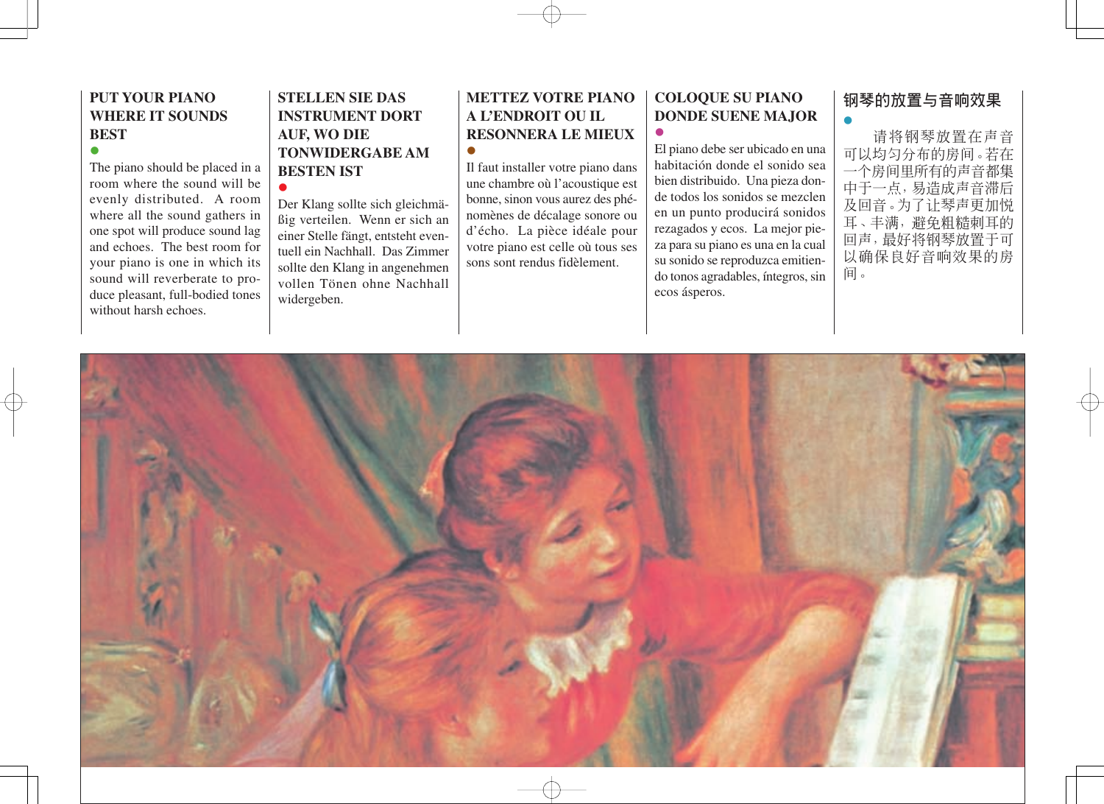## **PUT YOUR PIANO WHERE IT SOUNDS BEST**

 $\bullet$ 

The piano should be placed in a room where the sound will be evenly distributed. A room where all the sound gathers in one spot will produce sound lag and echoes. The best room for your piano is one in which its sound will reverberate to produce pleasant, full-bodied tones without harsh echoes.

# **STELLEN SIE DAS INSTRUMENT DORT AUF, WO DIE TONWIDERGABE AM BESTEN IST**

0

Der Klang sollte sich gleichmäßig verteilen. Wenn er sich an einer Stelle fängt, entsteht eventuell ein Nachhall. Das Zimmer sollte den Klang in angenehmen vollen Tönen ohne Nachhall widergeben.

## **METTEZ VOTRE PIANO A L'ENDROIT OU IL RESONNERA LE MIEUX**  $\bullet$

Il faut installer votre piano dans une chambre où l'acoustique est bonne, sinon vous aurez des phénomènes de décalage sonore ou d'écho. La pièce idéale pour votre piano est celle où tous ses sons sont rendus fidèlement.

## **COLOQUE SU PIANO DONDE SUENE MAJOR**  $\bullet$

El piano debe ser ubicado en una habitación donde el sonido sea bien distribuido. Una pieza donde todos los sonidos se mezclen en un punto producirá sonidos rezagados y ecos. La mejor pieza para su piano es una en la cual su sonido se reproduzca emitiendo tonos agradables, íntegros, sin ecos ásperos.

# **钢琴的放置与音响效果**

 $\bullet$ 

请将钢琴放置在声音 可以均匀分布的房间。若在 一个房间里所有的声音都集 中于一点,易造成声音滞后 及回音。为了让琴声更加悦 耳、丰满,避免粗糙刺耳的 回声,最好将钢琴放置于可 以确保良好音响效果的房 间。

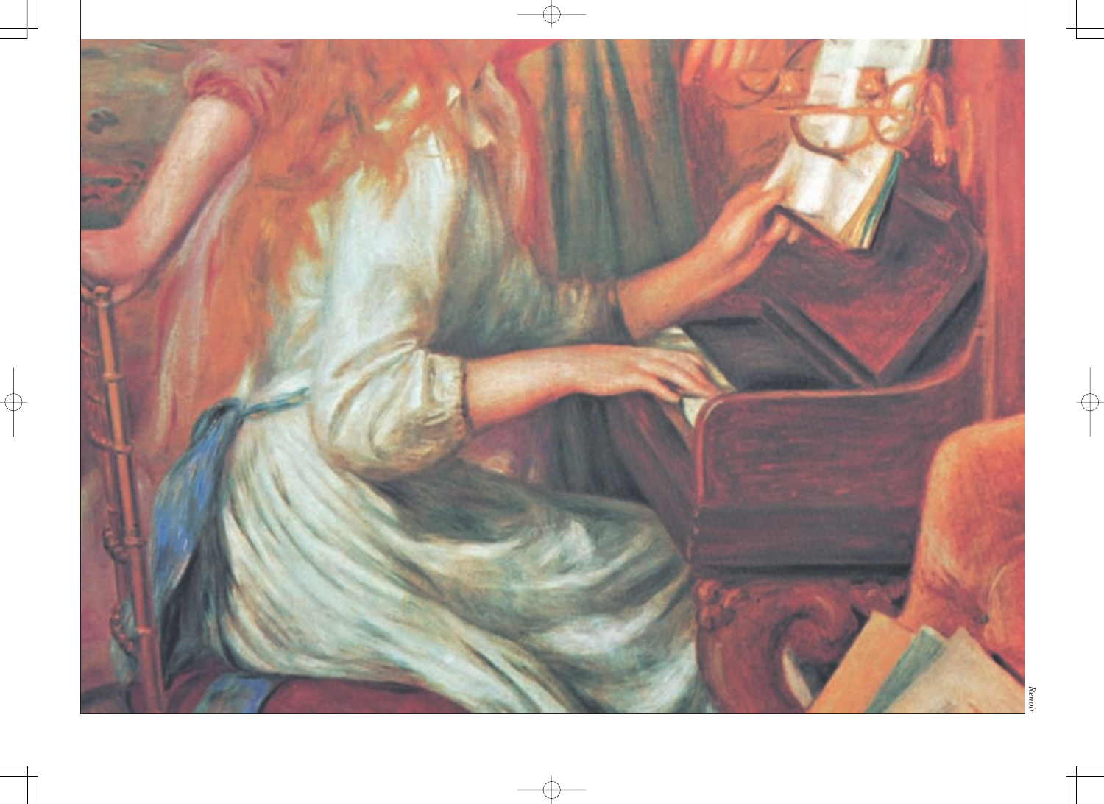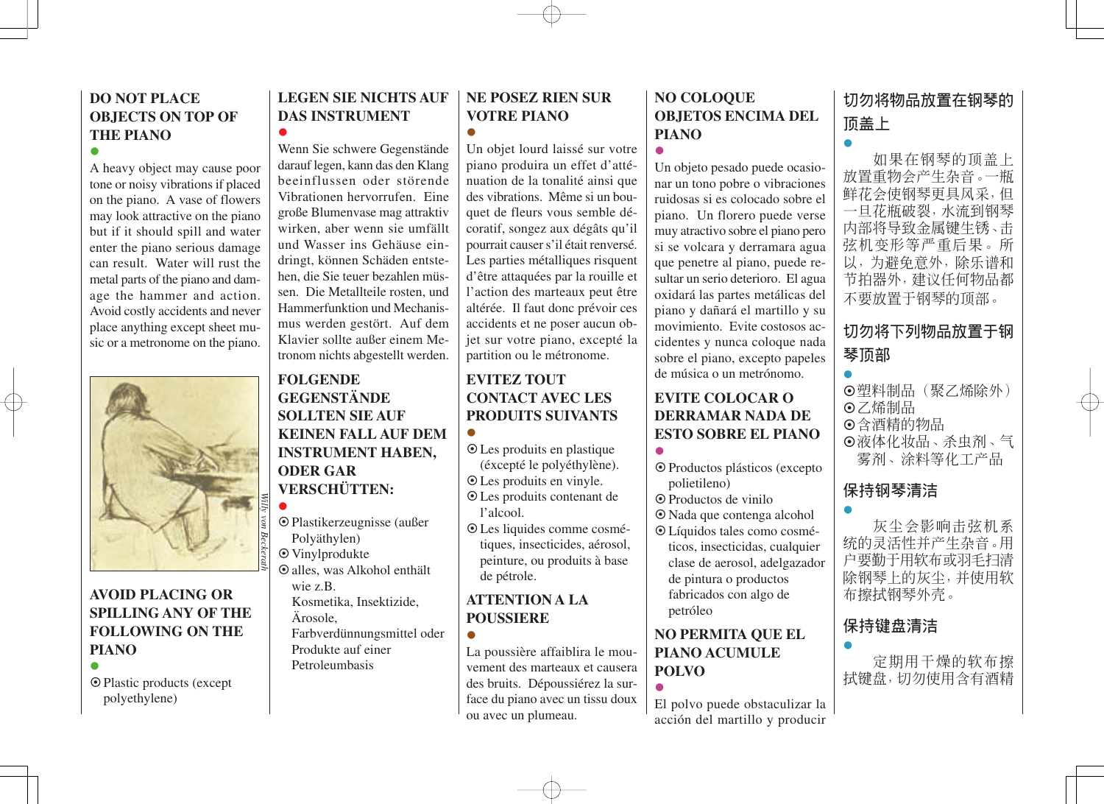## **DO NOT PLACE OBJECTS ON TOP OF THE PIANO**  $\bullet$

A heavy object may cause poor tone or noisy vibrations if placed on the piano. A vase of flowers may look attractive on the piano but if it should spill and water enter the piano serious damage can result. Water will rust the metal parts of the piano and damage the hammer and action. Avoid costly accidents and never place anything except sheet music or a metronome on the piano.



## **AVOID PLACING OR SPILLING ANY OF THE FOLLOWING ON THE PIANO**

- $\bullet$
- -Plastic products (except polyethylene)

# **LEGEN SIE NICHTS AUF DAS INSTRUMENT**

0

Wenn Sie schwere Gegenstände darauf legen, kann das den Klang beeinflussen oder st örende Vibrationen hervorrufen. Eine gro ße Blumenvase mag attraktiv wirken, aber wenn sie umfällt und Wasser ins Gehäuse eindringt, k önnen Schäden entstehen, die Sie teuer bezahlen m üssen. Die Metallteile rosten, und Hammerfunktion und Mechanismus werden gest ört. Auf dem Klavier sollte au ßer einem Metronom nichts abgestellt werden.

## **FOLGENDE GEGENST ÄNDE SOLLTEN SIE AUF KEINEN FALL AUF DEM INSTRUMENT HABEN, ODER GAR VERSCH ÜTTEN:**

- -Plastikerzeugnisse (au ßer Polyäthylen)
- **⊙** Vinylprodukte

 $\bullet$ 

- -alles, was Alkohol enthält wie z.B.
- Kosmetika, Insektizide, Ärosole,
- Farbverd ünnungsmittel oder Produkte auf einer Petroleumbasis

## **NE POSEZ RIEN SUR VOTRE PIANO** 0

Un objet lourd laissé sur votre piano produira un effet d'atténuation de la tonalité ainsi que des vibrations. Même si un bouquet de fleurs vous semble décoratif, songez aux dégâts qu'il pourrait causer s'il était renversé. Les parties métalliques risquent d'être attaquées par la rouille et l'action des marteaux peut être altérée. Il faut donc prévoir ces accidents et ne poser aucun objet sur votre piano, excepté la partition ou le métronome.

## **EVITEZ TOUT CONTACT AVEC LES PRODUITS SUIVANTS**  $\bullet$

- -Les produits en plastique (éxcepté le polyéthylène).
- -Les produits en vinyle. -Les produits contenant de l'alcool.
- -Les liquides comme cosmétiques, insecticides, aérosol, peinture, ou produits à base de pétrole.

## **ATTENTION A LA POUSSIERE**

0

La poussière affaiblira le mouvement des marteaux et causera des bruits. Dépoussiérez la surface du piano avec un tissu doux ou avec un plumeau.

## **NO COLOQUE OBJETOS ENCIMA DEL PIANO**  $\bullet$

Un objeto pesado puede ocasionar un tono pobre o vibraciones ruidosas si es colocado sobre el piano. Un florero puede verse muy atractivo sobre el piano pero si se volcara y derramara agua que penetre al piano, puede resultar un serio deterioro. El agua oxidará las partes metálicas del piano y da ñará el martillo y su movimiento. Evite costosos accidentes y nunca coloque nada sobre el piano, excepto papeles de m úsica o un metr ónomo.

## **EVITE COLOCAR O DERRAMAR NADA DE ESTO SOBRE EL PIANO**  $\bullet$

- -Productos plásticos (excepto polietileno)
- **⊙** Productos de vinilo
- -Nada que contenga alcohol
- Líquidos tales como cosméticos, insecticidas, cualquier clase de aerosol, adelgazador de pintura o productos fabricados con algo de petr óleo

# **NO PERMITA QUE EL PIANO ACUMULE POLVO**

 $\bullet$ 

El polvo puede obstaculizar la acci ón del martillo y producir

# **切勿将物品放置在钢琴的 顶盖上**  $\bullet$

如果在钢琴的顶盖上 放置重物会产生杂音。一瓶 鲜花会使钢琴更具风采,但 一旦花瓶破裂,水流到钢琴 内部将导致金属键生锈、击 弦机变形等严重后果。所 以,为避免意外,除乐谱和 节拍器外,建议任何物品都 不要放置于钢琴的顶部。

# **切勿将下列物品放置于钢 琴顶部**

 $\bullet$ ⊙塑料制品(聚乙烯除外) ⊙乙烯制品 ⊙含酒精的物品 ⊙液体化妆品、杀虫剂、气 雾剂、涂料等化工产品

# **保持钢琴清洁**

 $\bullet$ 

 $\bullet$ 

灰尘会影响击弦机系 统的灵活性并产生杂音。用 户要勤于用软布或羽毛扫清 除钢琴上的灰尘,并使用软 布擦拭钢琴外壳。

# **保持键盘清洁**

定期用干燥的软布擦 拭键盘,切勿使用含有酒精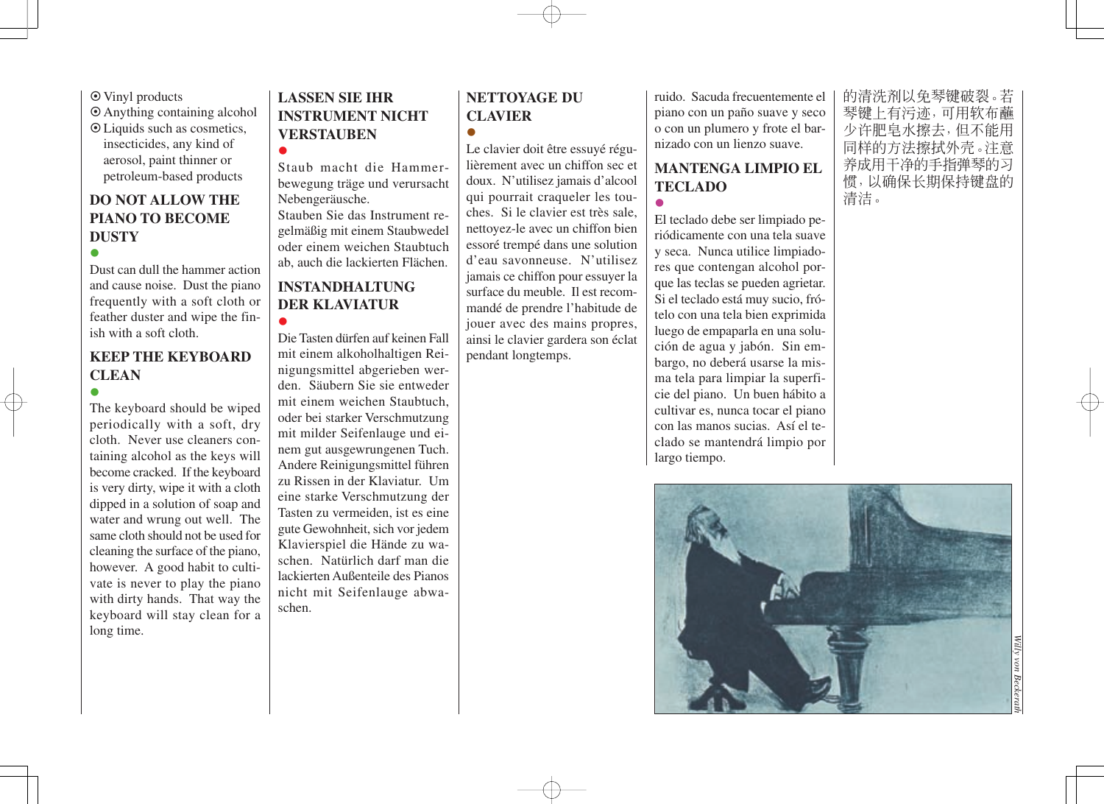- $\odot$  Vinyl products
- -Anything containing alcohol
- -Liquids such as cosmetics, insecticides, any kind of aerosol, paint thinner or petroleum-based products

## **DO NOT ALLOW THE PIANO TO BECOME DUSTY**

 $\blacksquare$ 

Dust can dull the hammer action and cause noise. Dust the piano frequently with a soft cloth or feather duster and wipe the finish with a soft cloth.

## **KEEP THE KEYBOARD CLEAN**

 $\bullet$ 

The keyboard should be wiped periodically with a soft, dry cloth. Never use cleaners containing alcohol as the keys will become cracked. If the keyboard is very dirty, wipe it with a cloth dipped in a solution of soap and water and wrung out well. The same cloth should not be used for cleaning the surface of the piano, however. A good habit to cultivate is never to play the piano with dirty hands. That way the keyboard will stay clean for a long time.

## **LASSEN SIE IHR INSTRUMENT NICHT VERSTAUBEN**  $\bullet$

Staub macht die Hammerbewegung träge und verursacht Nebengeräusche. Stauben Sie das Instrument re-

gelmäßig mit einem Staubwedel oder einem weichen Staubtuch ab, auch die lackierten Flächen.

## **INSTANDHALTUNG DER KLAVIATUR**  $\bullet$

Die Tasten d ürfen auf keinen Fall mit einem alkoholhaltigen Reinigungsmittel abgerieben werden. Säubern Sie sie entweder mit einem weichen Staubtuch, oder bei starker Verschmutzung mit milder Seifenlauge und einem gut ausgewrungenen Tuch. Andere Reinigungsmittel führen zu Rissen in der Klaviatur. Um eine starke Verschmutzung der Tasten zu vermeiden, ist es eine gute Gewohnheit, sich vor jedem Klavierspiel die Hände zu waschen. Nat ürlich darf man die lackierten Au ßenteile des Pianos nicht mit Seifenlauge abwaschen.

## **NETTOYAGE DU CLAVIER**  $\bullet$

Le clavier doit être essuyé régulièrement avec un chiffon sec et doux. N'utilisez jamais d'alcool qui pourrait craqueler les touches. Si le clavier est très sale, nettoyez-le avec un chiffon bien essoré trempé dans une solution d'eau savonneuse. N'utilisez jamais ce chiffon pour essuyer la surface du meuble. Il est recommandé de prendre l'habitude de jouer avec des mains propres, ainsi le clavier gardera son éclat pendant longtemps.

ruido. Sacuda frecuentemente el piano con un pa ño suave y seco o con un plumero y frote el barnizado con un lienzo suave.

# **MANTENGA LIMPIO EL TECLADO**

 $\bullet$ 

El teclado debe ser limpiado peri ódicamente con una tela suave y seca. Nunca utilice limpiadores que contengan alcohol porque las teclas se pueden agrietar. Si el teclado está muy sucio, fr ótelo con una tela bien exprimida luego de empaparla en una soluci ón de agua y jab ón. Sin embargo, no deberá usarse la misma tela para limpiar la superficie del piano. Un buen hábito a cultivar es, nunca tocar el piano con las manos sucias. Así el teclado se mantendrá limpio por largo tiempo.

的清洗剂以免琴键破裂。若 琴键上有污迹,可用软布蘸 少许肥皂水擦去,但不能用 同样的方法擦拭外壳。注意 养成用干净的手指弹琴的习 惯,以确保长期保持键盘的 清洁。

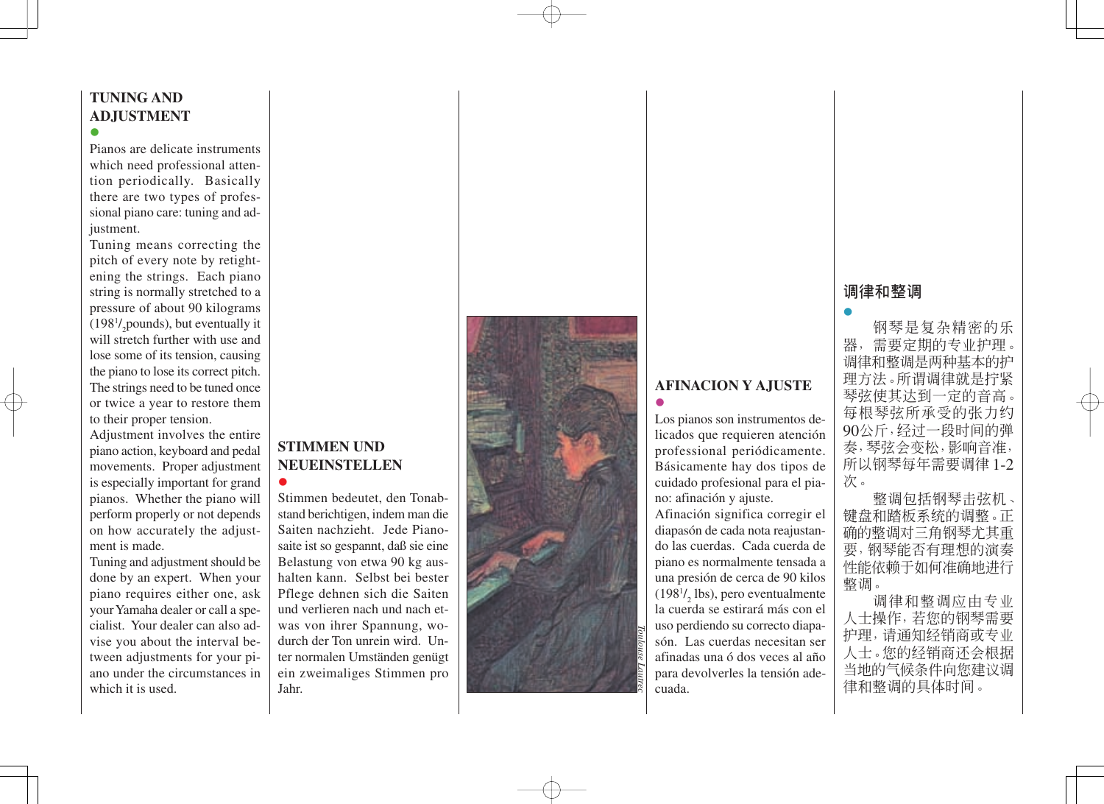#### **TUNING AND ADJUSTMENT**  $\bullet$

Pianos are delicate instruments which need professional attention periodically. Basically there are two types of professional piano care: tuning and adjustment.

Tuning means correcting the pitch of every note by retightening the strings. Each piano string is normally stretched to a pressure of about 90 kilograms  $(198<sup>1</sup>/<sub>2</sub> pounds)$ , but eventually it will stretch further with use and lose some of its tension, causing the piano to lose its correct pitch. The strings need to be tuned once or twice a year to restore them to their proper tension.

Adjustment involves the entire piano action, keyboard and pedal movements. Proper adjustment is especially important for grand pianos. Whether the piano will perform properly or not depends on how accurately the adjustment is made.

Tuning and adjustment should be done by an expert. When your piano requires either one, ask your Yamaha dealer or call a specialist. Your dealer can also advise you about the interval between adjustments for your piano under the circumstances in which it is used.

## **STIMMEN UND NEUEINSTELLEN**

 $\bullet$ 

Stimmen bedeutet, den Tonabstand berichtigen, indem man die Saiten nachzieht. Jede Pianosaite ist so gespannt, da ß sie eine Belastung von etwa 90 kg aushalten kann. Selbst bei bester Pflege dehnen sich die Saiten und verlieren nach und nach etwas von ihrer Spannung, wodurch der Ton unrein wird. Unter normalen Umständen gen ügt ein zweimaliges Stimmen pro Jahr.



# **AFINACION Y AJUSTE**

 $\bullet$ 

Los pianos son instrumentos delicados que requieren atenci ó n professional peri ódicamente. Básicamente hay dos tipos de cuidado profesional para el piano: afinaci ón y ajuste.

Afinaci ón significa corregir el diapas ón de cada nota reajustando las cuerdas. Cada cuerda de piano es normalmente tensada a una presi ón de cerca de 90 kilos  $(198<sup>1</sup>/<sub>2</sub> 1bs)$ , pero eventualmente la cuerda se estirará más con el uso perdiendo su correcto diapasón. Las cuerdas necesitan ser afinadas una ó dos veces al a ñ o para devolverles la tensi ón adecuada.

# **调律和整调**

 $\bullet$ 

钢琴是复杂精密的乐 需要定期的专业护理。 调律和整调是两种基本的护 理方法。所谓调律就是拧紧 琴弦使其达到一定的音高。 每根琴弦所承受的张力约 90公斤,经过一段时间的弹 奏,琴弦会变松,影响音准, 所以钢琴每年需要调律 1-2 次。

整调包括钢琴击弦机、 键盘和踏板系统的调整。正 确的整调对三角钢琴尤其重 要,钢琴能否有理想的演奏 性能依赖于如何准确地进行 整调。

调律和整调应由专业 人士操作,若您的钢琴需要 护理,请通知经销商或专业 人士。您的经销商还会根据 当地的气候条件向您建议调 律和整调的具体时间。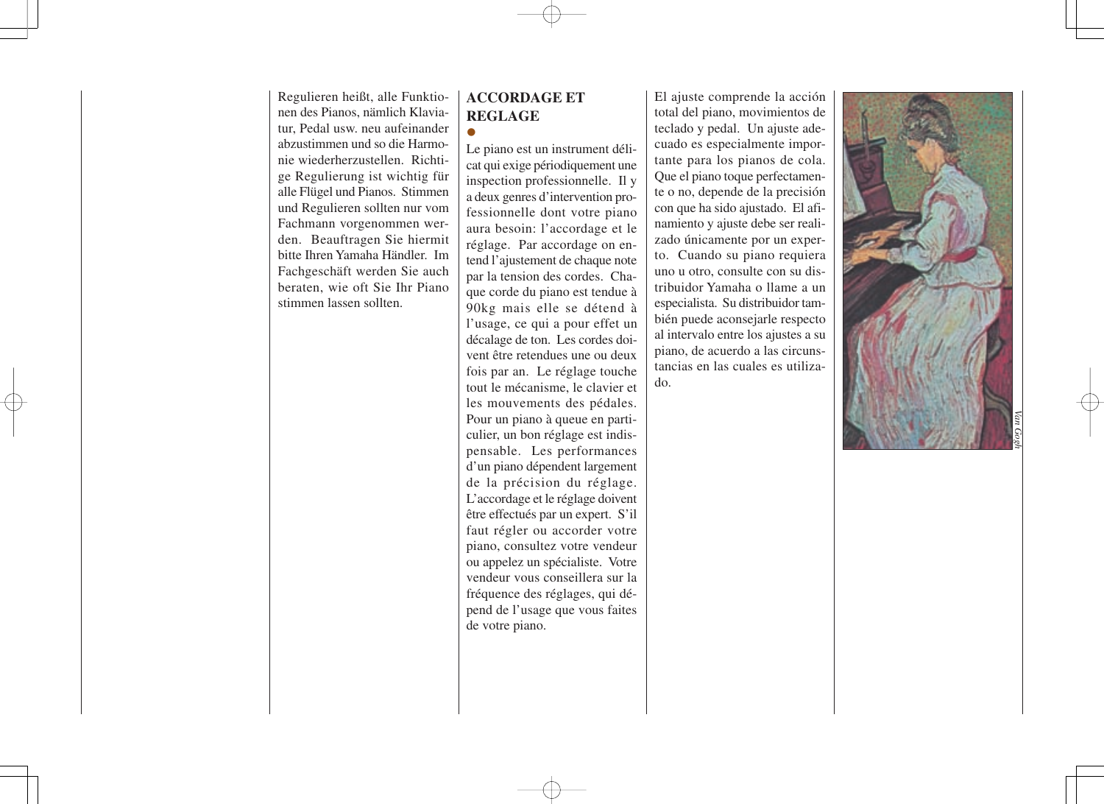Regulieren hei ßt, alle Funktionen des Pianos, nämlich Klaviatur, Pedal usw. neu aufeinander abzustimmen und so die Harmonie wiederherzustellen. Richtige Regulierung ist wichtig für alle Fl ügel und Pianos. Stimmen und Regulieren sollten nur vom Fachmann vorgenommen werden. Beauftragen Sie hiermit bitte Ihren Yamaha Händler. Im Fachgeschäft werden Sie auch beraten, wie oft Sie Ihr Piano stimmen lassen sollten.

# **ACCORDAGE ET REGLAGE**

0

Le piano est un instrument délicat qui exige périodiquement une inspection professionnelle. Il y a deux genres d'intervention professionnelle dont votre piano aura besoin: l'accordage et le réglage. Par accordage on entend l'ajustement de chaque note par la tension des cordes. Chaque corde du piano est tendue à 90kg mais elle se détend à l'usage, ce qui a pour effet un décalage de ton. Les cordes doivent être retendues une ou deux fois par an. Le réglage touche tout le mécanisme, le clavier et les mouvements des pédales. Pour un piano à queue en particulier, un bon réglage est indispensable. Les performances d'un piano dépendent largement de la précision du réglage. L'accordage et le réglage doivent être effectués par un expert. S'il faut régler ou accorder votre piano, consultez votre vendeur ou appelez un spécialiste. Votre vendeur vous conseillera sur la fréquence des réglages, qui dépend de l'usage que vous faites de votre piano.

El ajuste comprende la acci ó n total del piano, movimientos de teclado y pedal. Un ajuste adecuado es especialmente importante para los pianos de cola. Que el piano toque perfectamente o no, depende de la precisi ó n con que ha sido ajustado. El afinamiento y ajuste debe ser realizado únicamente por un experto. Cuando su piano requiera uno u otro, consulte con su distribuidor Yamaha o llame a un especialista. Su distribuidor también puede aconsejarle respecto al intervalo entre los ajustes a su piano, de acuerdo a las circunstancias en las cuales es utilizado.